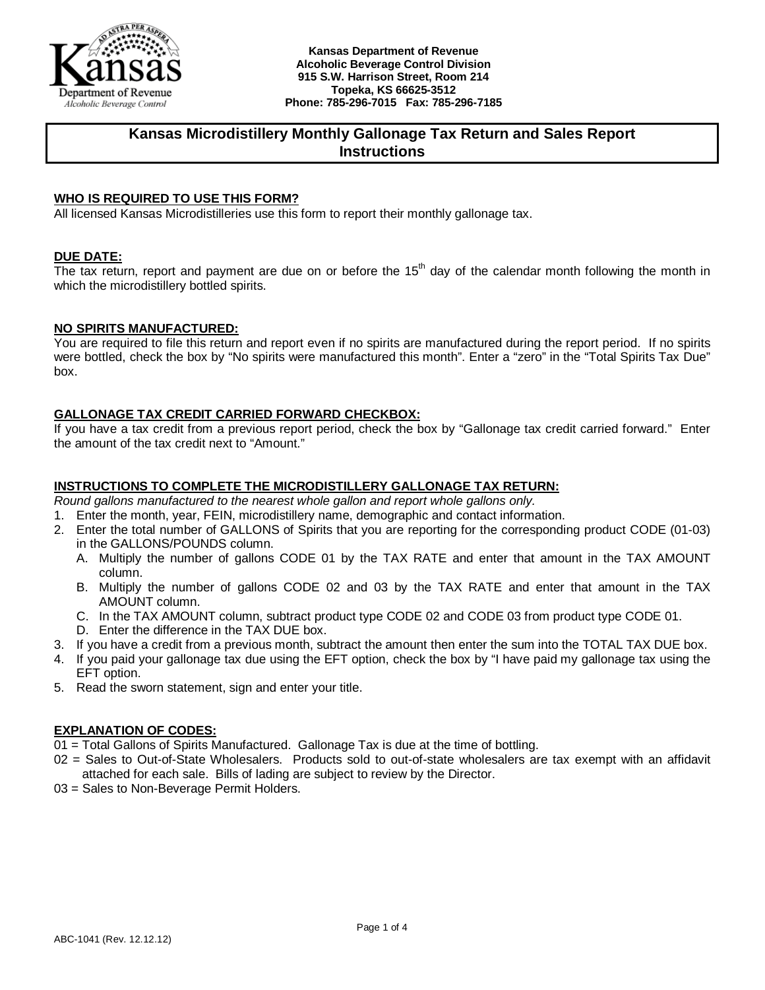

# **Kansas Microdistillery Monthly Gallonage Tax Return and Sales Report Instructions**

## **WHO IS REQUIRED TO USE THIS FORM?**

All licensed Kansas Microdistilleries use this form to report their monthly gallonage tax.

### **DUE DATE:**

The tax return, report and payment are due on or before the  $15<sup>th</sup>$  day of the calendar month following the month in which the microdistillery bottled spirits.

### **NO SPIRITS MANUFACTURED:**

You are required to file this return and report even if no spirits are manufactured during the report period. If no spirits were bottled, check the box by "No spirits were manufactured this month". Enter a "zero" in the "Total Spirits Tax Due" box.

### **GALLONAGE TAX CREDIT CARRIED FORWARD CHECKBOX:**

If you have a tax credit from a previous report period, check the box by "Gallonage tax credit carried forward." Enter the amount of the tax credit next to "Amount."

### **INSTRUCTIONS TO COMPLETE THE MICRODISTILLERY GALLONAGE TAX RETURN:**

*Round gallons manufactured to the nearest whole gallon and report whole gallons only.*

- 1. Enter the month, year, FEIN, microdistillery name, demographic and contact information.
- 2. Enter the total number of GALLONS of Spirits that you are reporting for the corresponding product CODE (01-03) in the GALLONS/POUNDS column.
	- A. Multiply the number of gallons CODE 01 by the TAX RATE and enter that amount in the TAX AMOUNT column.
	- B. Multiply the number of gallons CODE 02 and 03 by the TAX RATE and enter that amount in the TAX AMOUNT column.
	- C. In the TAX AMOUNT column, subtract product type CODE 02 and CODE 03 from product type CODE 01.
	- D. Enter the difference in the TAX DUE box.
- 3. If you have a credit from a previous month, subtract the amount then enter the sum into the TOTAL TAX DUE box.
- 4. If you paid your gallonage tax due using the EFT option, check the box by "I have paid my gallonage tax using the EFT option.
- 5. Read the sworn statement, sign and enter your title.

### **EXPLANATION OF CODES:**

- 01 = Total Gallons of Spirits Manufactured. Gallonage Tax is due at the time of bottling.
- 02 = Sales to Out-of-State Wholesalers. Products sold to out-of-state wholesalers are tax exempt with an affidavit attached for each sale. Bills of lading are subject to review by the Director.
- 03 = Sales to Non-Beverage Permit Holders.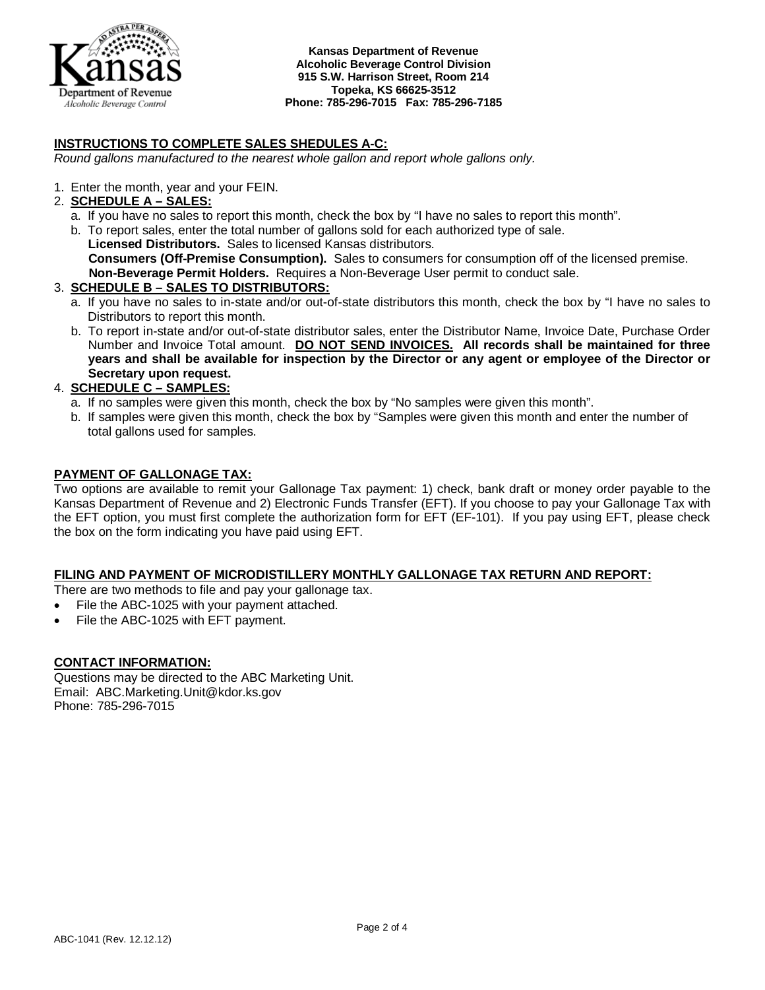

## **INSTRUCTIONS TO COMPLETE SALES SHEDULES A-C:**

*Round gallons manufactured to the nearest whole gallon and report whole gallons only.*

1. Enter the month, year and your FEIN.

### 2. **SCHEDULE A – SALES:**

a. If you have no sales to report this month, check the box by "I have no sales to report this month".

b. To report sales, enter the total number of gallons sold for each authorized type of sale. **Licensed Distributors.** Sales to licensed Kansas distributors.  **Consumers (Off-Premise Consumption).** Sales to consumers for consumption off of the licensed premise.  **Non-Beverage Permit Holders.** Requires a Non-Beverage User permit to conduct sale.

### 3. **SCHEDULE B – SALES TO DISTRIBUTORS:**

- a. If you have no sales to in-state and/or out-of-state distributors this month, check the box by "I have no sales to Distributors to report this month.
- b. To report in-state and/or out-of-state distributor sales, enter the Distributor Name, Invoice Date, Purchase Order Number and Invoice Total amount. **DO NOT SEND INVOICES. All records shall be maintained for three years and shall be available for inspection by the Director or any agent or employee of the Director or Secretary upon request.**

## 4. **SCHEDULE C – SAMPLES:**

- a. If no samples were given this month, check the box by "No samples were given this month".
- b. If samples were given this month, check the box by "Samples were given this month and enter the number of total gallons used for samples.

### **PAYMENT OF GALLONAGE TAX:**

Two options are available to remit your Gallonage Tax payment: 1) check, bank draft or money order payable to the Kansas Department of Revenue and 2) Electronic Funds Transfer (EFT). If you choose to pay your Gallonage Tax with the EFT option, you must first complete the authorization form for EFT (EF-101). If you pay using EFT, please check the box on the form indicating you have paid using EFT.

### **FILING AND PAYMENT OF MICRODISTILLERY MONTHLY GALLONAGE TAX RETURN AND REPORT:**

There are two methods to file and pay your gallonage tax.

- File the ABC-1025 with your payment attached.
- File the ABC-1025 with EFT payment.

### **CONTACT INFORMATION:**

Questions may be directed to the ABC Marketing Unit. Email: ABC.Marketing.Unit@kdor.ks.gov Phone: 785-296-7015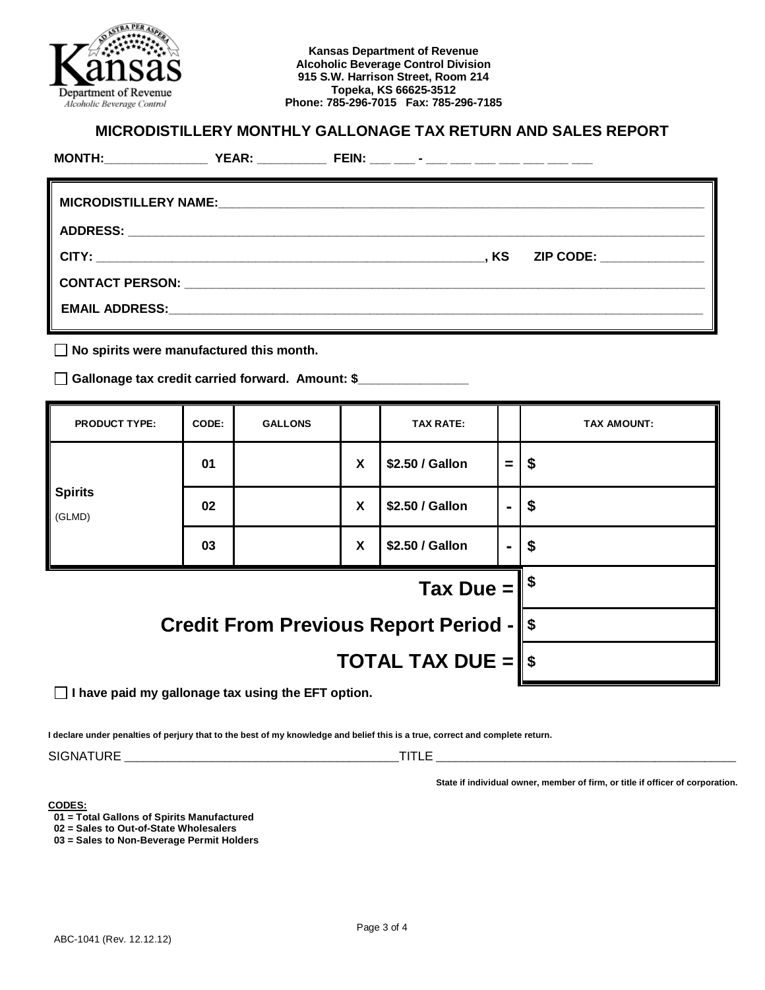

## **MICRODISTILLERY MONTHLY GALLONAGE TAX RETURN AND SALES REPORT**

|  | . KS | ZIP CODE: ____________ |
|--|------|------------------------|
|  |      |                        |
|  |      |                        |
|  |      |                        |

**No spirits were manufactured this month.**

**Gallonage tax credit carried forward. Amount: \$\_\_\_\_\_\_\_\_\_\_\_\_\_\_\_\_**

| <b>PRODUCT TYPE:</b>                          | CODE: | <b>GALLONS</b> |   | <b>TAX RATE:</b> |      | <b>TAX AMOUNT:</b>        |  |
|-----------------------------------------------|-------|----------------|---|------------------|------|---------------------------|--|
|                                               | 01    |                | X | \$2.50 / Gallon  | =    | \$                        |  |
| <b>Spirits</b><br>(GLMD)                      | 02    |                | X | \$2.50 / Gallon  | ۰.   | $\boldsymbol{\$}$         |  |
|                                               | 03    |                | X | \$2.50 / Gallon  | ۰    | $\boldsymbol{\mathsf{s}}$ |  |
| Tax Due $=$                                   |       |                |   |                  | l \$ |                           |  |
| <b>Credit From Previous Report Period - S</b> |       |                |   |                  |      |                           |  |
| <b>TOTAL TAX DUE = <math>\ \</math></b>       |       |                |   |                  |      |                           |  |

**I have paid my gallonage tax using the EFT option.**

**I declare under penalties of perjury that to the best of my knowledge and belief this is a true, correct and complete return.**

SIGNATURE \_\_\_\_\_\_\_\_\_\_\_\_\_\_\_\_\_\_\_\_\_\_\_\_\_\_\_\_\_\_\_\_\_\_\_\_\_\_\_\_\_\_\_\_TITLE \_\_\_\_\_\_\_\_\_\_\_\_\_\_\_\_\_\_\_\_\_\_\_\_\_\_\_\_\_\_\_\_\_\_\_\_\_\_\_\_\_\_\_\_\_\_\_\_

**State if individual owner, member of firm, or title if officer of corporation.**

**CODES:**

**01 = Total Gallons of Spirits Manufactured**

**02 = Sales to Out-of-State Wholesalers**

**03 = Sales to Non-Beverage Permit Holders**